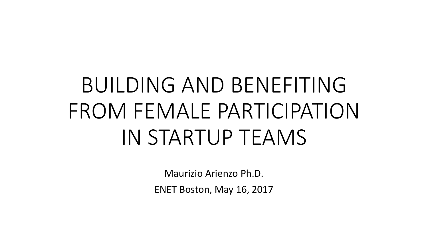# BUILDING AND BENEFITING FROM FEMALE PARTICIPATION IN STARTUP TEAMS

Maurizio Arienzo Ph.D.

ENET Boston, May 16, 2017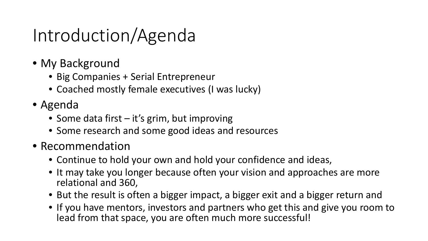## Introduction/Agenda

- My Background
	- Big Companies + Serial Entrepreneur
	- Coached mostly female executives (I was lucky)
- Agenda
	- Some data first it's grim, but improving
	- Some research and some good ideas and resources
- Recommendation
	- Continue to hold your own and hold your confidence and ideas,
	- It may take you longer because often your vision and approaches are more relational and 360,
	- But the result is often a bigger impact, a bigger exit and a bigger return and
	- If you have mentors, investors and partners who get this and give you room to lead from that space, you are often much more successful!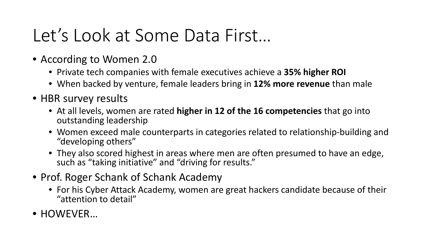## Let's Look at Some Data First…

- According to Women 2.0
	- Private tech companies with female executives achieve a **35% higher ROI**
	- When backed by venture, female leaders bring in **12% more revenue** than male
- HBR survey results
	- At all levels, women are rated **higher in 12 of the 16 competencies** that go into outstanding leadership
	- Women exceed male counterparts in categories related to relationship-building and "developing others"
	- They also scored highest in areas where men are often presumed to have an edge, such as "taking initiative" and "driving for results."
- Prof. Roger Schank of Schank Academy
	- For his Cyber Attack Academy, women are great hackers candidate because of their "attention to detail"
- HOWEVER…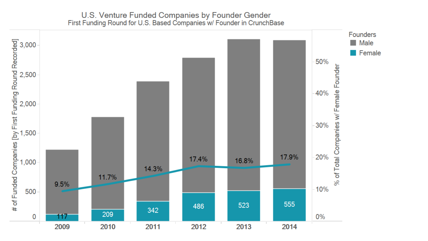#### U.S. Venture Funded Companies by Founder Gender<br>First Funding Round for U.S. Based Companies w/ Founder in CrunchBase

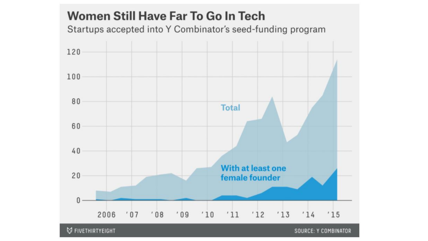#### **Women Still Have Far To Go In Tech** Startups accepted into Y Combinator's seed-funding program 120 100 80 **Total** 60 40 **With at least one**  $20$ female founder 0  $'08$  $'09$  $'14$ 2006  $'07$  $'10$  $'11$   $'12$   $'13$  $'15$ **V FIVETHIRTYEIGHT SOURCE: Y COMBINATOR**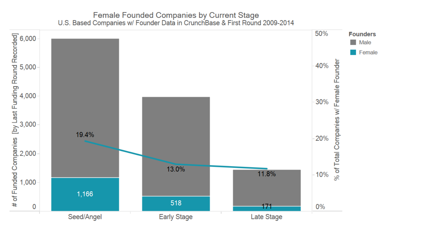#### Female Founded Companies by Current Stage<br>U.S. Based Companies w/ Founder Data in CrunchBase & First Round 2009-2014

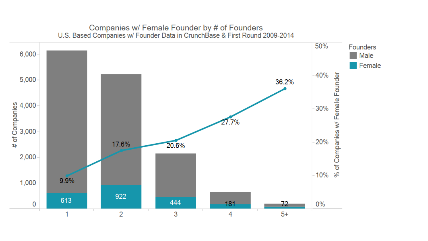### Companies w/ Female Founder by # of Founders<br>U.S. Based Companies w/ Founder Data in CrunchBase & First Round 2009-2014

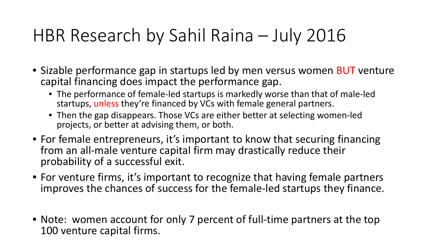## HBR Research by Sahil Raina – July 2016

- Sizable performance gap in startups led by men versus women **BUT** venture capital financing does impact the performance gap.
	- The performance of female-led startups is markedly worse than that of male-led startups, unless they're financed by VCs with female general partners.
	- Then the gap disappears. Those VCs are either better at selecting women-led projects, or better at advising them, or both.
- For female entrepreneurs, it's important to know that securing financing from an all-male venture capital firm may drastically reduce their probability of a successful exit.
- For venture firms, it's important to recognize that having female partners improves the chances of success for the female-led startups they finance.
- Note: women account for only 7 percent of full-time partners at the top 100 venture capital firms.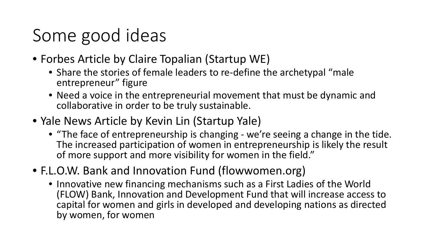## Some good ideas

- Forbes Article by Claire Topalian (Startup WE)
	- Share the stories of female leaders to re-define the archetypal "male entrepreneur" figure
	- Need a voice in the entrepreneurial movement that must be dynamic and collaborative in order to be truly sustainable.
- Yale News Article by Kevin Lin (Startup Yale)
	- "The face of entrepreneurship is changing we're seeing a change in the tide. The increased participation of women in entrepreneurship is likely the result of more support and more visibility for women in the field."
- F.L.O.W. Bank and Innovation Fund (flowwomen.org)
	- Innovative new financing mechanisms such as a First Ladies of the World (FLOW) Bank, Innovation and Development Fund that will increase access to capital for women and girls in developed and developing nations as directed by women, for women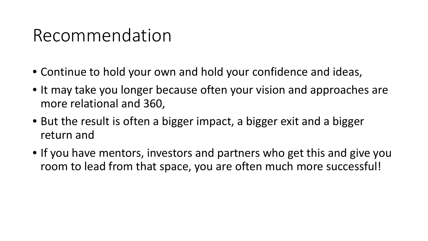## Recommendation

- Continue to hold your own and hold your confidence and ideas,
- It may take you longer because often your vision and approaches are more relational and 360,
- But the result is often a bigger impact, a bigger exit and a bigger return and
- If you have mentors, investors and partners who get this and give you room to lead from that space, you are often much more successful!